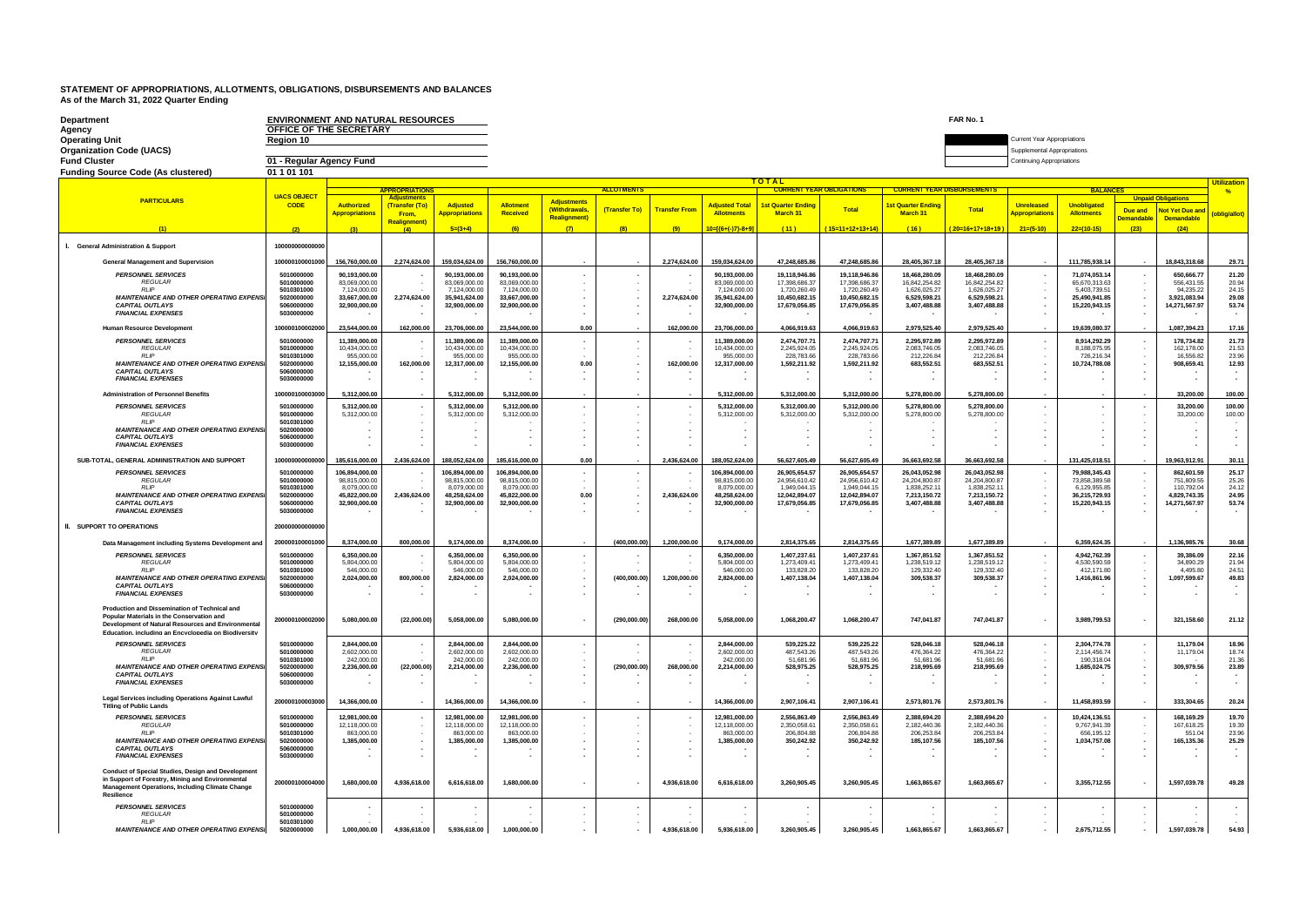| Department<br>Agency                                                                                                                                                           | <b>ENVIRONMENT AND NATURAL RESOURCES</b><br>OFFICE OF THE SECRETARY |                                            |                                                 |                                          |                                |                                    |                   |                      |                                            |                                                 |                                |                                       | FAR No. 1                      |                                                                   |                                         |                              |                                             |                |  |  |
|--------------------------------------------------------------------------------------------------------------------------------------------------------------------------------|---------------------------------------------------------------------|--------------------------------------------|-------------------------------------------------|------------------------------------------|--------------------------------|------------------------------------|-------------------|----------------------|--------------------------------------------|-------------------------------------------------|--------------------------------|---------------------------------------|--------------------------------|-------------------------------------------------------------------|-----------------------------------------|------------------------------|---------------------------------------------|----------------|--|--|
| Operating Unit<br><b>Organization Code (UACS)</b>                                                                                                                              | Region 10                                                           |                                            |                                                 |                                          |                                |                                    |                   |                      |                                            |                                                 |                                |                                       |                                | <b>Current Year Appropriations</b><br>Supplemental Appropriations |                                         |                              |                                             |                |  |  |
| Fund Cluster                                                                                                                                                                   | 01 - Regular Agency Fund                                            |                                            |                                                 |                                          |                                |                                    |                   |                      |                                            |                                                 |                                |                                       |                                | <b>Continuing Appropriations</b>                                  |                                         |                              |                                             |                |  |  |
| <b>Funding Source Code (As clustered)</b>                                                                                                                                      | 01 1 01 101                                                         |                                            |                                                 |                                          |                                |                                    |                   |                      |                                            |                                                 |                                |                                       |                                |                                                                   |                                         |                              |                                             |                |  |  |
|                                                                                                                                                                                |                                                                     |                                            | <b>APPROPRIATIONS</b>                           |                                          |                                |                                    | <b>ALLOTMENTS</b> |                      |                                            | <b>TOTAL</b><br><b>CURRENT YEAR OBLIGATIONS</b> |                                | <b>CURRENT YEAR DISBURSEMENTS</b>     |                                | <b>Utilization</b><br><b>BALANCES</b><br>$\frac{9}{6}$            |                                         |                              |                                             |                |  |  |
| <b>PARTICULARS</b>                                                                                                                                                             | <b>UACS OBJECT</b>                                                  |                                            | Adiustments                                     |                                          |                                | <b>Adjustments</b>                 |                   |                      |                                            |                                                 |                                |                                       |                                |                                                                   |                                         |                              | <b>Unpaid Obligations</b>                   |                |  |  |
|                                                                                                                                                                                | <b>CODE</b>                                                         | <b>Authorized</b><br><b>Appropriations</b> | (Transfer (To)<br>From,<br><b>Realignment</b> ) | <b>Adjusted</b><br><b>Appropriations</b> | Allotmen<br>Received           | (Withdrawals<br><b>Realignment</b> | (Transfer To)     | <b>Transfer From</b> | <b>Adjusted Total</b><br><b>Allotments</b> | <b>1st Quarter Ending</b><br>March 31           | <b>Total</b>                   | <b>1st Quarter Ending</b><br>March 31 | <b>Total</b>                   | <b>Unreleased</b><br><b>Appropriations</b>                        | <b>Unobligated</b><br><b>Allotments</b> | Due and<br><b>Demandable</b> | <b>Not Yet Due and</b><br><b>Demandable</b> | (oblig/allot)  |  |  |
|                                                                                                                                                                                |                                                                     |                                            | (4)                                             | $5=(3+4)$                                |                                | (7)                                | (8)               | (9)                  | 10=[{6+(-)7}-8+9]                          | (11)                                            | $(15=11+12+13+14)$             | (16)                                  | $(20=16+17+18+19)$             | $21=(5-10)$                                                       | $22=(10-15)$                            | (23)                         | (24)                                        |                |  |  |
| I. General Administration & Support                                                                                                                                            | 10000000000000                                                      |                                            |                                                 |                                          |                                |                                    |                   |                      |                                            |                                                 |                                |                                       |                                |                                                                   |                                         |                              |                                             |                |  |  |
| <b>General Management and Supervision</b>                                                                                                                                      | 100000100001000                                                     | 156,760,000.00                             | 2,274,624.00                                    | 159,034,624.00                           | 156,760,000.00                 |                                    |                   | 2,274,624.00         | 159,034,624.00                             | 47,248,685.86                                   | 47,248,685.86                  | 28,405,367.18                         | 28,405,367.18                  |                                                                   | 111,785,938.14                          |                              | 18,843,318.68                               | 29.71          |  |  |
| <b>PERSONNEL SERVICES</b><br><b>REGULAR</b>                                                                                                                                    | 5010000000<br>5010000000                                            | 90,193,000.00<br>83,069,000.00             |                                                 | 90,193,000.00<br>83,069,000.00           | 90,193,000.00<br>83,069,000.00 |                                    |                   |                      | 90,193,000.00<br>83,069,000.00             | 19,118,946.86<br>17,398,686.37                  | 19,118,946.86<br>17,398,686.37 | 18,468,280.09<br>16,842,254.82        | 18,468,280.09<br>16,842,254.82 |                                                                   | 71,074,053.14<br>65,670,313.63          |                              | 650,666.77<br>556,431.55                    | 21.20<br>20.94 |  |  |
| <b>RLIP</b>                                                                                                                                                                    | 5010301000                                                          | 7.124.000.00                               |                                                 | 7.124.000.00                             | 7.124.000.00                   | ٠.                                 |                   |                      | 7.124.000.00                               | 1.720.260.49                                    | 1,720,260.49                   | 1.626.025.27                          | 1,626,025.27                   |                                                                   | 5.403.739.51                            |                              | 94.235.22                                   | 24.15          |  |  |
| <b>MAINTENANCE AND OTHER OPERATING EXPENSI</b><br><b>CAPITAL OUTLAYS</b>                                                                                                       | 5020000000<br>5060000000                                            | 33.667.000.00<br>32.900.000.00             | 2,274,624.00                                    | 35.941.624.00<br>32,900,000,00           | 33.667.000.00<br>32.900.000.00 | $\overline{\phantom{a}}$           |                   | 2,274,624.00         | 35.941.624.00<br>32.900.000.00             | 10.450.682.15<br>17,679,056.85                  | 10.450.682.1<br>17,679,056.85  | 6.529.598.21<br>3,407,488.88          | 6.529.598.21<br>3,407,488.88   |                                                                   | 25.490.941.85<br>15,220,943.15          |                              | 3.921.083.94                                | 29.08<br>53.74 |  |  |
| <b>FINANCIAL EXPENSES</b>                                                                                                                                                      | 5030000000                                                          |                                            |                                                 |                                          |                                |                                    |                   |                      |                                            |                                                 |                                |                                       |                                |                                                                   |                                         |                              | 14,271,567.97                               |                |  |  |
| Human Resource Development                                                                                                                                                     | 10000010000200                                                      | 23,544,000.00                              | 162,000.00                                      | 23,706,000.00                            | 23,544,000.00                  | 0.00                               |                   | 162,000.00           | 23,706,000.00                              | 4,066,919.63                                    | 4,066,919.63                   | 2,979,525.40                          | 2,979,525.40                   |                                                                   | 19,639,080.37                           |                              | 1,087,394.23                                | 17.16          |  |  |
| <b>PERSONNEL SERVICES</b><br><b>RFGULAR</b>                                                                                                                                    | 5010000000<br>5010000000                                            | 11,389,000.00<br>10.434.000.00             | . .<br>٠.                                       | 11,389,000.00<br>10.434.000.00           | 11,389,000.00<br>10.434.000.00 |                                    |                   |                      | 11,389,000.00<br>10.434.000.00             | 2,474,707.71<br>2.245.924.05                    | 2,474,707.7<br>2.245.924.05    | 2,295,972.89<br>2.083.746.05          | 2,295,972.89<br>2.083.746.05   |                                                                   | 8,914,292.29<br>8.188.075.95            |                              | 178,734.82<br>162.178.00                    | 21.73<br>21.53 |  |  |
| <b>RIP</b>                                                                                                                                                                     | 5010301000                                                          | 955,000.00                                 |                                                 | 955,000.00                               | 955,000.00                     |                                    |                   |                      | 955,000.00                                 | 228 783 66                                      | 228, 783.66                    | 212,226.84                            | 212.226.84                     |                                                                   | 726,216.34                              |                              | 16,556.82                                   | 23.96          |  |  |
| <b>MAINTENANCE AND OTHER OPERATING EXPENSI</b><br><b>CAPITAL OUTLAYS</b>                                                                                                       | 5020000000<br>5060000000                                            | 12.155.000.00                              | 162,000.00                                      | 12,317,000.00                            | 12.155.000.00                  | 0.00                               |                   | 162,000.00           | 12,317,000.00                              | 1,592,211.92                                    | 1,592,211.92                   | 683,552.51                            | 683.552.51                     |                                                                   | 10.724.788.08                           |                              | 908,659.41                                  | 12.93          |  |  |
| <b>FINANCIAL EXPENSES</b>                                                                                                                                                      | 5030000000                                                          |                                            |                                                 |                                          |                                |                                    |                   |                      |                                            |                                                 |                                |                                       |                                |                                                                   |                                         |                              |                                             |                |  |  |
| <b>Administration of Personnel Benefits</b>                                                                                                                                    | 10000010000300                                                      | 5.312.000.00                               |                                                 | 5.312.000.00                             | 5.312.000.00                   |                                    |                   |                      | 5.312.000.00                               | 5.312.000.00                                    | 5.312.000.00                   | 5.278.800.00                          | 5.278.800.00                   |                                                                   |                                         |                              | 33,200.00                                   | 100.00         |  |  |
| <b>PERSONNEL SERVICES</b>                                                                                                                                                      | 5010000000                                                          | 5.312.000.00                               | $\sim$                                          | 5.312.000.00                             | 5.312.000.00                   |                                    |                   |                      | 5.312.000.00                               | 5.312.000.00                                    | 5.312.000.00                   | 5.278.800.00                          | 5.278.800.00                   |                                                                   |                                         |                              | 33,200.00                                   | 100.00         |  |  |
| <b>REGULAR</b>                                                                                                                                                                 | 5010000000                                                          | 5.312.000.00                               | $\cdot$                                         | 5,312,000.00                             | 5,312,000.00                   |                                    |                   |                      | 5,312,000.00                               | 5,312,000.00                                    | 5,312,000.00                   | 5,278,800.00                          | 5,278,800.00                   |                                                                   |                                         |                              | 33,200.00                                   | 100.00         |  |  |
| <b>RIP</b><br><b>MAINTENANCE AND OTHER OPERATING EXPENSI</b>                                                                                                                   | 5010301000<br>5020000000                                            |                                            | $\sim$<br>$\sim$                                |                                          |                                |                                    |                   |                      |                                            |                                                 |                                |                                       |                                |                                                                   |                                         |                              |                                             |                |  |  |
| <b>CAPITAL OUTLAYS</b><br><b>FINANCIAL EXPENSES</b>                                                                                                                            | 5060000000<br>5030000000                                            |                                            | ٠.                                              |                                          |                                |                                    |                   |                      |                                            |                                                 |                                |                                       |                                |                                                                   |                                         |                              |                                             |                |  |  |
| SUB-TOTAL, GENERAL ADMINISTRATION AND SUPPORT                                                                                                                                  | 1000000000000                                                       | 185,616,000,00                             | 2,436,624.00                                    | 188.052.624.00                           | 185.616.000.00                 | 0.00                               |                   | 2.436.624.00         | 188.052.624.00                             | 56.627.605.49                                   | 56,627,605.49                  | 36,663,692.58                         | 36.663.692.58                  |                                                                   | 131.425.018.51                          |                              | 19,963,912.91                               | 30.11          |  |  |
| <b>PERSONNEL SERVICES</b>                                                                                                                                                      | 5010000000                                                          | 106.894.000.00                             |                                                 | 106,894,000.00                           | 106.894.000.00                 |                                    |                   |                      | 106,894,000.00                             | 26,905,654.57                                   | 26,905,654.57                  | 26,043,052.98                         | 26,043,052.98                  |                                                                   | 79,988,345.43                           |                              | 862.601.59                                  | 25.17          |  |  |
| <b>REGULAR</b><br><b>RLIP</b>                                                                                                                                                  | 5010000000<br>5010301000                                            | 98,815,000.00<br>8.079.000.00              |                                                 | 98.815.000.00<br>8,079,000.00            | 98.815.000.00<br>8.079.000.00  |                                    |                   |                      | 98,815,000.00<br>8.079.000.00              | 24,956,610.42<br>1.949.044.15                   | 24,956,610.42<br>1.949.044.1   | 24.204.800.87<br>1.838.252.1          | 24,204,800.87<br>1.838.252.1   |                                                                   | 73.858.389.58<br>6.129.955.85           |                              | 751.809.55<br>110.792.04                    | 25.26<br>24.12 |  |  |
| <b>MAINTENANCE AND OTHER OPERATING EXPENSI</b>                                                                                                                                 | 5020000000                                                          | 45,822,000.00                              | 2,436,624.00                                    | 48,258,624.00                            | 45,822,000.00                  | 0.00                               |                   | 2,436,624.00         | 48,258,624.00                              | 12,042,894.07                                   | 12,042,894.07                  | 7,213,150.72                          | 7,213,150.72                   |                                                                   | 36,215,729.93                           |                              | 4,829,743.35                                | 24.95          |  |  |
| <b>CAPITAL OUTLAYS</b><br><b>FINANCIAL EXPENSES</b>                                                                                                                            | 5060000000<br>5030000000                                            | 32,900,000.00                              |                                                 | 32.900.000.00                            | 32.900.000.00                  | ٠.                                 |                   |                      | 32,900,000,00                              | 17,679,056.85                                   | 17.679.056.85                  | 3.407.488.88                          | 3.407.488.88                   | $\overline{\phantom{a}}$                                          | 15.220.943.15                           |                              | 14,271,567.97                               | 53.74          |  |  |
| <b>II. SUPPORT TO OPERATIONS</b>                                                                                                                                               | 20000000000000                                                      |                                            |                                                 |                                          |                                |                                    |                   |                      |                                            |                                                 |                                |                                       |                                |                                                                   |                                         |                              |                                             |                |  |  |
| Data Management including Systems Development and                                                                                                                              | 20000010000100                                                      | 8,374,000.00                               | 800,000.00                                      | 9.174.000.00                             | 8.374.000.00                   |                                    | (400.000.00)      | 1.200.000.00         | 9.174.000.00                               | 2.814.375.65                                    | 2,814,375.65                   | 1,677,389.89                          | 1,677,389.89                   |                                                                   | 6.359.624.35                            |                              | 1.136.985.76                                | 30.68          |  |  |
| <b>PERSONNEL SERVICES</b>                                                                                                                                                      | 5010000000                                                          | 6,350,000.00                               |                                                 | 6.350.000.00                             | 6,350,000.00                   |                                    |                   |                      | 6.350.000.00                               | 1,407,237.61                                    | 1,407,237.61                   | 1.367.851.52                          | 1.367.851.52                   |                                                                   | 4.942.762.39                            |                              | 39,386.09                                   | 22.16          |  |  |
| <b>REGULAR</b>                                                                                                                                                                 | 5010000000                                                          | 5.804.000.00                               |                                                 | 5,804,000.00                             | 5.804.000.00                   |                                    |                   |                      | 5,804,000.00                               | 1,273,409.41                                    | 1,273,409.41                   | 1,238,519.12                          | 1,238,519.12                   |                                                                   | 4.530.590.59                            |                              | 34,890.29                                   | 21.94          |  |  |
| <b>RLIP</b><br><b>MAINTENANCE AND OTHER OPERATING EXPENSI</b>                                                                                                                  | 5010301000<br>5020000000                                            | 546,000.00<br>2,024,000.00                 | 800,000.00                                      | 546,000.00<br>2.824.000.00               | 546,000.00<br>2,024,000.00     | ٠.                                 | (400,000.00)      | 1,200,000.00         | 546,000.00<br>2.824.000.00                 | 133,828.20<br>1,407,138.04                      | 133,828.20<br>1,407,138.04     | 129,332.40<br>309.538.37              | 129,332.40<br>309.538.37       | $\sim$                                                            | 412,171.80<br>1,416,861.96              |                              | 4,495.80<br>1.097.599.67                    | 24.51<br>49.83 |  |  |
| <b>CAPITAL OUTLAYS</b>                                                                                                                                                         | 5060000000                                                          |                                            |                                                 |                                          |                                | ٠.                                 |                   |                      |                                            |                                                 |                                |                                       |                                |                                                                   |                                         |                              |                                             |                |  |  |
| <b>FINANCIAL EXPENSES</b>                                                                                                                                                      | 5030000000                                                          |                                            |                                                 |                                          |                                |                                    |                   |                      |                                            |                                                 |                                |                                       |                                |                                                                   |                                         |                              |                                             | $\sim$         |  |  |
| Production and Dissemination of Technical and                                                                                                                                  |                                                                     |                                            |                                                 |                                          |                                |                                    |                   |                      |                                            |                                                 |                                |                                       |                                |                                                                   |                                         |                              |                                             |                |  |  |
| Popular Materials in the Conservation and<br>Development of Natural Resources and Environmental<br>Education, including an Encyclopedia on Biodiversity                        | 20000010000200                                                      | 5,080,000.00                               | (22.000.00)                                     | 5,058,000.00                             | 5.080.000.00                   |                                    | (290.000.00)      | 268,000,00           | 5,058,000.00                               | 1.068.200.47                                    | 1.068.200.47                   | 747.041.87                            | 747.041.87                     |                                                                   | 3,989,799.53                            |                              | 321,158.60                                  | 21.12          |  |  |
| <b>PERSONNEL SERVICES</b>                                                                                                                                                      | 5010000000                                                          | 2.844.000.00                               |                                                 | 2.844.000.00                             | 2.844.000.00                   |                                    | $\sim$            |                      | 2.844.000.00                               | 539.225.22                                      | 539.225.22                     | 528,046.18                            | 528,046.18                     |                                                                   | 2.304.774.78                            |                              | 11.179.04                                   | 18.96          |  |  |
| REGULAR<br>RI IP                                                                                                                                                               | 5010000000<br>5010301000                                            | 2,602,000.00<br>242,000.00                 |                                                 | 2,602,000.00<br>242,000.0                | 2,602,000.00<br>242,000.00     |                                    |                   |                      | 2,602,000.00<br>242,000.00                 | 487,543.26<br>51,681.96                         | 487,543.26<br>51,681.96        | 476,364.22<br>51,681.96               | 476,364.22<br>51,681.96        |                                                                   | 2,114,456.74<br>190,318.04              |                              | 11,179.04                                   | 18.74<br>21.36 |  |  |
| MAINTENANCE AND OTHER OPERATING EXPENSI                                                                                                                                        | 5020000000                                                          | 2,236,000.00                               | (22,000.00)                                     | 2,214,000.00                             | 2,236,000.00                   | $\sim$                             | (290,000.00)      | 268,000.00           | 2,214,000.00                               | 528,975.25                                      | 528,975.25                     | 218,995.69                            | 218,995.69                     | $\overline{\phantom{a}}$                                          | 1,685,024.75                            |                              | 309,979.56                                  | 23.89          |  |  |
| <b>CAPITAL OUTLAYS</b><br><b>FINANCIAL EXPENSES</b>                                                                                                                            | 5060000000<br>5030000000                                            | . н.                                       | $\sim$                                          |                                          |                                | $\blacksquare$<br>$\sim$           |                   | $\sim$               |                                            |                                                 |                                |                                       |                                |                                                                   |                                         |                              |                                             | ٠.             |  |  |
| Legal Services including Operations Against Lawful                                                                                                                             | 20000010000300                                                      | 14,366,000.00                              | $\sim$                                          | 14,366,000.00                            | 14,366,000.00                  | $\sim$                             | $\cdot$           | $\sim$               | 14,366,000.00                              | 2,907,106.41                                    | 2,907,106.41                   | 2,573,801.76                          | 2,573,801.76                   | $\sim$                                                            | 11,458,893.59                           |                              | 333,304.65                                  | 20.24          |  |  |
| <b>Titling of Public Lands</b><br><b>PERSONNEL SERVICES</b>                                                                                                                    | 5010000000                                                          | 12.981.000.00                              | $\sim$                                          | 12,981,000.00                            | 12.981.000.00                  |                                    |                   |                      | 12.981.000.00                              | 2,556,863.49                                    | 2,556,863.49                   | 2,388,694.20                          | 2.388.694.20                   |                                                                   | 10.424.136.51                           |                              | 168.169.29                                  | 19.70          |  |  |
| <b>REGULAR</b>                                                                                                                                                                 | 5010000000                                                          | 12,118,000.00                              | $\sim$                                          | 12,118,000.00                            | 12,118,000.00                  | ٠                                  |                   |                      | 12,118,000.00                              | 2,350,058.61                                    | 2,350,058.61                   | 2,182,440.36                          | 2,182,440.36                   |                                                                   | 9,767,941.39                            |                              | 167,618.25                                  | 19.39          |  |  |
| <b>RLIP</b><br><b>MAINTENANCE AND OTHER OPERATING EXPENSI</b>                                                                                                                  | 5010301000<br>5020000000                                            | 863,000.00<br>1.385.000.00                 | $\sim$                                          | 863,000.00<br>1.385.000.00               | 863,000.00<br>1.385.000.00     | $\sim$                             |                   | $\sim$               | 863,000.00<br>1.385.000.00                 | 206,804.88<br>350.242.92                        | 206,804.8<br>350.242.92        | 206,253.84<br>185,107.56              | 206.253.84<br>185.107.56       | $\overline{\phantom{a}}$                                          | 656.195.12<br>1.034.757.08              |                              | 551.04<br>165.135.36                        | 23.96<br>25.29 |  |  |
| <b>CAPITAL OUTLAYS</b>                                                                                                                                                         | 5060000000                                                          |                                            | $\cdot$                                         |                                          |                                |                                    |                   | $\sim$               |                                            |                                                 |                                |                                       |                                |                                                                   |                                         |                              |                                             |                |  |  |
| <b>FINANCIAL EXPENSES</b>                                                                                                                                                      | 5030000000                                                          |                                            | ٠.                                              |                                          |                                |                                    |                   |                      |                                            |                                                 |                                |                                       |                                |                                                                   |                                         |                              |                                             |                |  |  |
| Conduct of Special Studies, Design and Development<br>in Support of Forestry, Mining and Environmental<br><b>Management Operations, Including Climate Change</b><br>Resilience | 200000100004000                                                     | 1,680,000.00                               | 4,936,618.00                                    | 6,616,618.00                             | 1,680,000.00                   |                                    |                   | 4,936,618.00         | 6,616,618.00                               | 3,260,905.45                                    | 3,260,905.45                   | 1,663,865.67                          | 1,663,865.67                   |                                                                   | 3,355,712.55                            |                              | 1,597,039.78                                | 49.28          |  |  |
| <b>PERSONNEL SERVICES</b>                                                                                                                                                      | 5010000000                                                          |                                            |                                                 |                                          |                                |                                    |                   |                      |                                            |                                                 |                                |                                       |                                |                                                                   |                                         |                              |                                             |                |  |  |
| <b>REGULAR</b><br><b>RLIP</b>                                                                                                                                                  | 5010000000<br>5010301000                                            |                                            |                                                 |                                          |                                |                                    |                   |                      |                                            |                                                 |                                |                                       |                                |                                                                   |                                         |                              |                                             |                |  |  |
| <b>MAINTENANCE AND OTHER OPERATING EXPENSI</b>                                                                                                                                 | 5020000000                                                          | 1.000.000.00                               | 4,936,618.00                                    | 5,936,618.00                             | 1.000.000.00                   |                                    |                   | 4,936,618.00         | 5,936,618.00                               | 3,260,905.45                                    | 3,260,905.45                   | 1,663,865.67                          | 1,663,865.67                   |                                                                   | 2,675,712.55                            |                              | 1.597.039.78                                | 54.93          |  |  |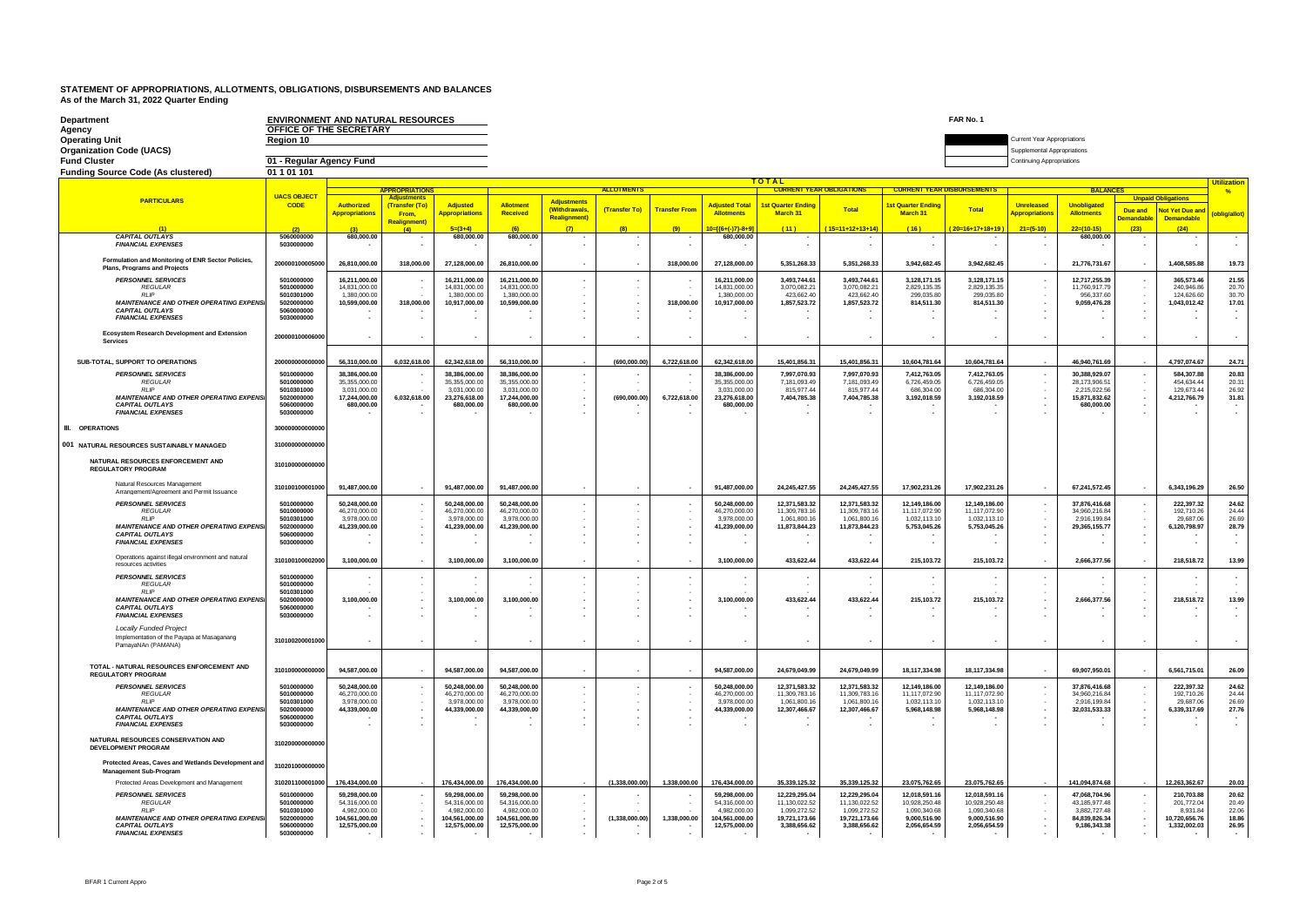| Department<br>Agency<br><b>Operating Unit</b><br><b>Organization Code (UACS)</b>                     | <b>ENVIRONMENT AND NATURAL RESOURCES</b><br>OFFICE OF THE SECRETARY<br>Region 10 |                                             |                           |                                             | FAR No. 1<br><b>Current Year Appropriations</b><br>Supplemental Appropriations<br><b>Continuing Appropriations</b> |                                          |                   |                      |                                             |                                |                                 |                                   |                                |                          |                                             |                                         |                                      |                     |
|------------------------------------------------------------------------------------------------------|----------------------------------------------------------------------------------|---------------------------------------------|---------------------------|---------------------------------------------|--------------------------------------------------------------------------------------------------------------------|------------------------------------------|-------------------|----------------------|---------------------------------------------|--------------------------------|---------------------------------|-----------------------------------|--------------------------------|--------------------------|---------------------------------------------|-----------------------------------------|--------------------------------------|---------------------|
| <b>Fund Cluster</b>                                                                                  | 01 - Regular Agency Fund                                                         |                                             |                           |                                             |                                                                                                                    |                                          |                   |                      |                                             |                                |                                 |                                   |                                |                          |                                             |                                         |                                      |                     |
| <b>Funding Source Code (As clustered)</b>                                                            | 01 1 01 101                                                                      |                                             |                           |                                             |                                                                                                                    |                                          |                   |                      |                                             | <b>TOTAL</b>                   |                                 |                                   |                                |                          |                                             |                                         |                                      | <b>Iltilization</b> |
|                                                                                                      |                                                                                  |                                             | <b>APPROPRIATIONS</b>     |                                             |                                                                                                                    |                                          | <b>ALLOTMENTS</b> |                      |                                             |                                | <b>CURRENT YEAR OBLIGATIONS</b> | <b>CURRENT YEAR DISBURSEMENTS</b> |                                | <b>BALANCE</b>           |                                             |                                         |                                      | $\frac{9}{6}$       |
| <b>PARTICULARS</b>                                                                                   | <b>UACS OBJECT</b><br><b>CODE</b>                                                | <b>Authorized</b>                           | (Transfer (To)            | <b>Adjusted</b>                             | <b>Allotmen</b>                                                                                                    | <b>Adjustments</b>                       |                   |                      | <b>Adiusted Total</b>                       | <b>1st Quarter Ending</b>      |                                 | <b>1st Quarter Ending</b>         |                                | <b>Unreleased</b>        | <b>Unobligated</b>                          |                                         | <b>Unpaid Obligations</b>            |                     |
|                                                                                                      |                                                                                  | <b>Appropriations</b>                       | From.                     | <b>Appropriations</b>                       | Received                                                                                                           | <b>Withdrawals</b><br><b>Realignment</b> | (Transfer To)     | <b>Transfer From</b> | <b>Allotments</b>                           | March 31                       | Total                           | March 31                          | Total                          | <b>Appropriations</b>    | <b>Allotments</b>                           | Due and<br><b>Demandable</b>            | <b>Not Yet Due and</b><br>Demandable | (oblig/allot)       |
|                                                                                                      | (2)                                                                              | (3)                                         | <b>Realignment</b><br>(4) | $5=(3+4)$                                   |                                                                                                                    |                                          |                   |                      | 10=[{6+(-)7}-8+9]                           | (11)                           | $(15=11+12+13+14)$              | (16)                              | $20=16+17+18+19$               | $21=(5-10)$              | $22=(10-15)$                                | (23)                                    | (24)                                 |                     |
| <b>CAPITAL OUTLAYS</b><br><b>FINANCIAL EXPENSES</b>                                                  | 5060000000<br>5030000000                                                         | 680,000.00                                  |                           | 680,000.00                                  | 680,000,00                                                                                                         |                                          |                   |                      | 680,000,00                                  |                                |                                 |                                   |                                |                          | 680,000,00                                  |                                         |                                      | $\sim$              |
| Formulation and Monitoring of ENR Sector Policies,<br><b>Plans, Programs and Projects</b>            | 200000100005000                                                                  | 26,810,000.00                               | 318,000.00                | 27,128,000.00                               | 26,810,000.00                                                                                                      |                                          |                   | 318,000.00           | 27,128,000.00                               | 5,351,268.33                   | 5,351,268.33                    | 3,942,682.45                      | 3.942.682.45                   |                          | 21,776,731.67                               |                                         | 1,408,585.88                         | 19.73               |
| <b>PERSONNEL SERVICES</b>                                                                            | 5010000000                                                                       | 16.211.000.00                               |                           | 16.211.000.00                               | 16.211.000.00                                                                                                      |                                          | $\sim$            |                      | 16.211.000.00                               | 3.493.744.61                   | 3.493.744.61                    | 3.128.171.15                      | 3.128.171.15                   |                          | 12,717,255.39                               |                                         | 365.573.46                           | 21.55               |
| <b>REGULAR</b><br><b>RLIP</b>                                                                        | 5010000000<br>5010301000                                                         | 14,831,000.00<br>1,380,000.00               |                           | 14,831,000.00<br>1,380,000.00               | 14,831,000.00<br>1,380,000.00                                                                                      |                                          |                   |                      | 14,831,000.00<br>1.380.000.00               | 3,070,082.21<br>423.662.40     | 3,070,082.21<br>423.662.40      | 2,829,135.35<br>299.035.80        | 2,829,135.35<br>299.035.80     |                          | 11,760,917.79<br>956,337.60                 |                                         | 240,946.86<br>124,626.60             | 20.70<br>30.70      |
| <b>MAINTENANCE AND OTHER OPERATING EXPENS</b>                                                        | 5020000000                                                                       | 10,599,000.00                               | 318,000.00                | 10,917,000.00                               | 10,599,000.00                                                                                                      |                                          |                   | 318,000.00           | 10,917,000.00                               | 1,857,523.72                   | 1,857,523.72                    | 814,511.30                        | 814,511.30                     |                          | 9,059,476.28                                | ٠<br>$\overline{\phantom{a}}$           | 1,043,012.42                         | 17.01               |
| <b>CAPITAL OUTLAYS</b>                                                                               | 5060000000<br>5030000000                                                         |                                             |                           |                                             |                                                                                                                    |                                          | $\sim$            |                      |                                             |                                |                                 |                                   |                                |                          |                                             | ٠                                       |                                      |                     |
| <b>FINANCIAL EXPENSES</b>                                                                            |                                                                                  |                                             | $\sim$                    | $\sim$                                      |                                                                                                                    |                                          |                   | $\sim$               | $\sim$                                      |                                |                                 |                                   |                                |                          |                                             | $\cdot$                                 |                                      | $\sim$              |
| Ecosystem Research Development and Extension<br><b>Services</b>                                      | 200000100006000                                                                  |                                             |                           |                                             |                                                                                                                    |                                          |                   |                      |                                             |                                |                                 |                                   |                                |                          |                                             |                                         |                                      | $\sim$              |
| SUB-TOTAL, SUPPORT TO OPERATIONS                                                                     | 200000000000000                                                                  | 56,310,000.00                               | 6,032,618.00              | 62,342,618.00                               | 56,310,000.00                                                                                                      |                                          | (690,000.00)      | 6,722,618.00         | 62,342,618.00                               | 15,401,856.31                  | 15,401,856.31                   | 10,604,781.64                     | 10,604,781.64                  |                          | 46,940,761.69                               |                                         | 4,797,074.67                         | 24.71               |
| <b>PERSONNEL SERVICES</b>                                                                            | 5010000000                                                                       | 38,386,000.00                               |                           | 38,386,000.00                               | 38,386,000.00                                                                                                      |                                          |                   |                      | 38,386,000.00                               | 7,997,070.93                   | 7,997,070.93                    | 7,412,763.05                      | 7,412,763.05                   |                          | 30,388,929.07                               |                                         | 584.307.88                           | 20.83               |
| <b>REGULAR</b><br>$RI$ IP                                                                            | 5010000000                                                                       | 35,355,000.00                               |                           | 35,355,000.00                               | 35,355,000.00                                                                                                      |                                          |                   |                      | 35,355,000.00                               | 7.181.093.49                   | 7.181.093.49                    | 6.726.459.05                      | 6,726,459.05                   |                          | 28,173,906.51                               |                                         | 454,634.44                           | 20.31               |
| <b>MAINTENANCE AND OTHER OPERATING EXPENS</b><br><b>CAPITAL OUTLAYS</b><br><b>FINANCIAL EXPENSES</b> | 5010301000<br>5020000000<br>5060000000<br>5030000000                             | 3,031,000.00<br>17,244,000.00<br>680,000.00 | 6,032,618.00              | 3,031,000.00<br>23,276,618.00<br>680,000.00 | 3,031,000.00<br>17,244,000.00<br>680,000.00                                                                        |                                          | (690,000.00)      | 6,722,618.00         | 3,031,000.00<br>23,276,618.00<br>680,000.00 | 815,977.44<br>7,404,785.38     | 815,977.44<br>7,404,785.38      | 686,304.00<br>3,192,018.59        | 686,304.00<br>3,192,018.59     | $\overline{\phantom{a}}$ | 2,215,022.56<br>15,871,832.62<br>680,000.00 | ٠<br>٠<br>$\overline{\phantom{a}}$<br>× | 129,673.44<br>4,212,766.79           | 26.92<br>31.81      |
| <b>III.</b> OPERATIONS                                                                               | 300000000000000                                                                  |                                             |                           |                                             |                                                                                                                    |                                          |                   |                      |                                             |                                |                                 |                                   |                                |                          |                                             |                                         |                                      |                     |
| 001 NATURAL RESOURCES SUSTAINABLY MANAGED                                                            | 310000000000000                                                                  |                                             |                           |                                             |                                                                                                                    |                                          |                   |                      |                                             |                                |                                 |                                   |                                |                          |                                             |                                         |                                      |                     |
| NATURAL RESOURCES ENFORCEMENT AND<br><b>REGULATORY PROGRAM</b>                                       | 31010000000000                                                                   |                                             |                           |                                             |                                                                                                                    |                                          |                   |                      |                                             |                                |                                 |                                   |                                |                          |                                             |                                         |                                      |                     |
| Natural Resources Management                                                                         |                                                                                  |                                             |                           |                                             |                                                                                                                    |                                          |                   |                      |                                             |                                |                                 |                                   |                                |                          |                                             |                                         |                                      |                     |
| Arrangement/Agreement and Permit Issuance                                                            | 310100100001000                                                                  | 91,487,000.00                               |                           | 91.487.000.00                               | 91.487.000.00                                                                                                      |                                          |                   |                      | 91.487.000.00                               | 24.245.427.55                  | 24.245.427.55                   | 17,902,231.26                     | 17.902.231.26                  |                          | 67.241.572.45                               | $\sim$                                  | 6.343.196.29                         | 26.50               |
| <b>PERSONNEL SERVICES</b><br><b>REGULAR</b>                                                          | 5010000000<br>5010000000                                                         | 50,248,000.00<br>46.270.000.00              |                           | 50,248,000.00<br>46.270.000.00              | 50,248,000.00<br>46,270,000.00                                                                                     |                                          |                   |                      | 50,248,000.00<br>46,270,000.00              | 12,371,583.32<br>11.309.783.16 | 12,371,583.32<br>11.309.783.16  | 12,149,186.00<br>11.117.072.90    | 12,149,186.00<br>11,117,072.90 |                          | 37,876,416.68<br>34.960.216.84              |                                         | 222,397.32<br>192.710.26             | 24.62<br>24.44      |
| RI IP                                                                                                | 5010301000                                                                       | 3.978.000.00                                |                           | 3.978.000.00                                | 3.978.000.00                                                                                                       |                                          |                   |                      | 3.978.000.00                                | 1.061.800.16                   | 1.061.800.16                    | 1.032.113.10                      | 1.032.113.10                   |                          | 2.916.199.84                                |                                         | 29,687.06                            | 26.69               |
| <b>MAINTENANCE AND OTHER OPERATING EXPENSI</b><br><b>CAPITAL OUTLAYS</b>                             | 5020000000<br>5060000000                                                         | 41.239.000.00                               | $\sim$                    | 41,239,000.00                               | 41.239.000.00                                                                                                      |                                          |                   | $\sim$               | 41.239.000.00                               | 11,873,844.23                  | 11,873,844.23                   | 5,753,045.26                      | 5,753,045.26                   |                          | 29,365,155.77                               | $\overline{\phantom{a}}$                | 6,120,798.97                         | 28.79               |
| <b>FINANCIAL EXPENSES</b>                                                                            | 5030000000                                                                       |                                             |                           | $\cdot$                                     |                                                                                                                    |                                          |                   |                      |                                             | $\overline{\phantom{a}}$       | $\overline{\phantom{a}}$        | $\cdot$                           |                                |                          |                                             | ÷,                                      |                                      |                     |
| Operations against illegal environment and natural<br>resources activities                           | 310100100002000                                                                  | 3,100,000.00                                |                           | 3.100.000.00                                | 3.100.000.00                                                                                                       |                                          |                   |                      | 3.100.000.00                                | 433,622.44                     | 433,622.44                      | 215,103.72                        | 215,103.72                     |                          | 2,666,377.56                                |                                         | 218,518.72                           | 13.99               |
| <b>PERSONNEL SERVICES</b>                                                                            | 5010000000                                                                       |                                             |                           |                                             |                                                                                                                    |                                          |                   |                      |                                             |                                |                                 |                                   |                                |                          |                                             |                                         |                                      |                     |
| <b>REGULAR</b><br><b>RIP</b>                                                                         | 5010000000<br>5010301000                                                         |                                             |                           | $\sim$                                      |                                                                                                                    |                                          |                   |                      |                                             |                                |                                 |                                   |                                |                          |                                             |                                         |                                      |                     |
| <b>MAINTENANCE AND OTHER OPERATING EXPENSI</b><br><b>CAPITAL OUTLAYS</b>                             | 5020000000<br>5060000000                                                         | 3,100,000.00                                |                           | 3,100,000.00                                | 3,100,000.00                                                                                                       |                                          |                   | $\sim$               | 3,100,000.00                                | 433,622.44                     | 433,622.44                      | 215,103.72                        | 215,103.72                     |                          | 2,666,377.56                                | $\overline{\phantom{a}}$                | 218,518.72                           | 13.99               |
| <b>FINANCIAL EXPENSES</b>                                                                            | 5030000000                                                                       |                                             |                           |                                             |                                                                                                                    |                                          |                   |                      |                                             |                                |                                 |                                   |                                |                          |                                             | ٠                                       |                                      |                     |
| <b>Locally Funded Project</b>                                                                        |                                                                                  |                                             |                           |                                             |                                                                                                                    |                                          |                   |                      |                                             |                                |                                 |                                   |                                |                          |                                             |                                         |                                      |                     |
| Implementation of the Payapa at Masaganang<br>PamayaNAn (PAMANA)                                     | 310100200001000                                                                  | ×.                                          |                           | $\mathbf{r}$                                |                                                                                                                    |                                          | $\sim$            |                      |                                             | $\sim$                         | ×.                              |                                   |                                |                          |                                             | $\epsilon$                              |                                      | $\mathbf{r}$        |
| <b>TOTAL - NATURAL RESOURCES ENFORCEMENT AND</b>                                                     | 310100000000000                                                                  | 94,587,000.00                               | $\epsilon$                | 94,587,000.00                               | 94,587,000.00                                                                                                      |                                          | $\sim$            |                      | 94,587,000.00                               | 24,679,049.99                  | 24,679,049.99                   | 18,117,334.98                     | 18,117,334.98                  |                          | 69,907,950.01                               | $\blacksquare$                          | 6,561,715.01                         | 26.09               |
| <b>REGULATORY PROGRAM</b><br><b>PERSONNEL SERVICES</b>                                               | 5010000000                                                                       | 50.248.000.00                               |                           | 50.248,000.00                               | 50.248.000.00                                                                                                      |                                          |                   |                      | 50.248.000.00                               | 12.371.583.32                  | 12.371.583.32                   | 12.149.186.00                     | 12.149.186.00                  |                          | 37.876.416.68                               |                                         | 222.397.32                           | 24.62               |
| REGULAR                                                                                              | 5010000000                                                                       | 46.270.000.00                               |                           | 46,270,000.00                               | 46.270.000.00                                                                                                      |                                          |                   |                      | 46.270.000.00                               | 11.309.783.16                  | 11.309.783.16                   | 11,117,072.90                     | 11,117,072.90                  |                          | 34,960,216.84                               |                                         | 192.710.26                           | 24.44               |
| RIIP<br><b>MAINTENANCE AND OTHER OPERATING EXPENS</b>                                                | 5010301000<br>5020000000                                                         | 3,978,000.00<br>44,339,000.00               |                           | 3,978,000.00<br>44,339,000.00               | 3,978,000.00<br>44,339,000.00                                                                                      |                                          |                   |                      | 3,978,000.00<br>44,339,000.00               | 1,061,800.16<br>12,307,466.67  | 1,061,800.16<br>12,307,466.67   | 1,032,113.10<br>5,968,148.98      | 1,032,113.10<br>5,968,148.98   |                          | 2,916,199.84<br>32,031,533.33               | ٠                                       | 29,687.06<br>6,339,317.69            | 26.69<br>27.76      |
| <b>CAPITAL OUTLAYS</b>                                                                               | 5060000000                                                                       |                                             | $\mathbf{r}$              |                                             |                                                                                                                    |                                          |                   | $\sim$               |                                             |                                |                                 |                                   |                                |                          |                                             | ٠                                       |                                      |                     |
| <b>FINANCIAL EXPENSES</b><br>NATURAL RESOURCES CONSERVATION AND                                      | 5030000000<br>310200000000000                                                    |                                             |                           |                                             |                                                                                                                    |                                          |                   |                      |                                             |                                |                                 |                                   |                                |                          |                                             | ٠                                       |                                      |                     |
| <b>DEVELOPMENT PROGRAM</b><br>Protected Areas, Caves and Wetlands Development an                     | 310201000000000                                                                  |                                             |                           |                                             |                                                                                                                    |                                          |                   |                      |                                             |                                |                                 |                                   |                                |                          |                                             |                                         |                                      |                     |
| <b>Management Sub-Program</b>                                                                        | 310201100001000                                                                  | 176,434,000.00                              |                           | 176,434,000.00                              | 176,434,000.00                                                                                                     |                                          | (1,338,000.00)    | 1,338,000.00         | 176,434,000.00                              | 35,339,125.32                  | 35,339,125.32                   | 23,075,762.65                     | 23,075,762.65                  |                          | 141,094,874.68                              |                                         | 12,263,362.67                        | 20.03               |
| Protected Areas Development and Management<br><b>PERSONNEL SERVICES</b>                              | 5010000000                                                                       | 59.298.000.00                               |                           | 59.298.000.00                               | 59.298.000.00                                                                                                      |                                          |                   |                      | 59.298.000.00                               | 12.229.295.04                  | 12.229.295.04                   | 12.018.591.16                     | 12.018.591.16                  |                          | 47.068.704.96                               |                                         | 210.703.88                           | 20.62               |
| <b>REGULAR</b>                                                                                       | 5010000000                                                                       | 54.316.000.00                               |                           | 54.316.000.00                               | 54.316.000.00                                                                                                      |                                          |                   |                      | 54.316.000.00                               | 11.130.022.52                  | 11.130.022.52                   | 10.928.250.48                     | 10.928.250.48                  |                          | 43.185.977.48                               |                                         | 201.772.0                            | 20.49               |
| RIIP<br><b>MAINTENANCE AND OTHER OPERATING EXPENSI</b>                                               | 5010301000<br>5020000000                                                         | 4.982.000.00<br>104,561,000.00              |                           | 4.982.000.00<br>104,561,000.00              | 4.982.000.00<br>104,561,000.00                                                                                     |                                          | (1,338,000.00)    | 1,338,000.00         | 4.982.000.00<br>104,561,000.00              | 1.099.272.52<br>19,721,173.66  | 1.099.272.52<br>19,721,173.66   | 1.090.340.68<br>9,000,516.90      | 1.090.340.68<br>9,000,516.90   |                          | 3.882.727.48<br>84,839,826.34               |                                         | 8.931.84<br>10,720,656.76            | 22.06<br>18.86      |
| <b>CAPITAL OUTLAYS</b><br><b>FINANCIAL EXPENSES</b>                                                  | 5060000000<br>5030000000                                                         | 12,575,000.00                               |                           | 12,575,000.00                               | 12.575.000.00                                                                                                      |                                          |                   |                      | 12,575,000.00                               | 3,388,656.62                   | 3,388,656.62                    | 2,056,654.59                      | 2,056,654.59                   |                          | 9,186,343.38                                |                                         | 1,332,002.03                         | 26.95               |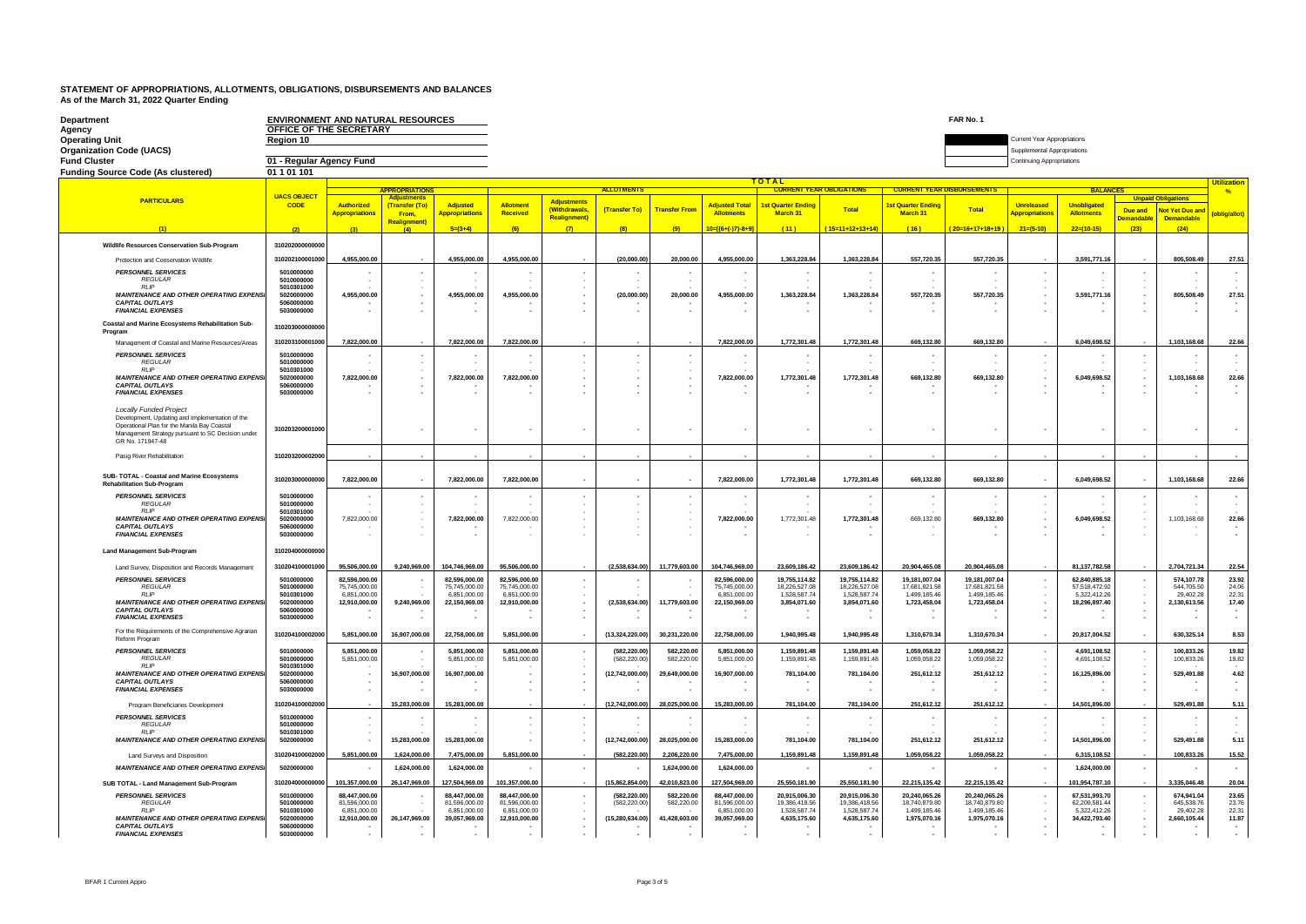| Department                                                                                                                      | <b>ENVIRONMENT AND NATURAL RESOURCES</b> |                                            |                                                 |                                          |                                     |                                           |                                                      |                          |                                            |                                       |                                 |                                       | FAR No. 1                      |                                                                 |                                         |                                                                             |                    |
|---------------------------------------------------------------------------------------------------------------------------------|------------------------------------------|--------------------------------------------|-------------------------------------------------|------------------------------------------|-------------------------------------|-------------------------------------------|------------------------------------------------------|--------------------------|--------------------------------------------|---------------------------------------|---------------------------------|---------------------------------------|--------------------------------|-----------------------------------------------------------------|-----------------------------------------|-----------------------------------------------------------------------------|--------------------|
| Agency<br><b>Operating Unit</b>                                                                                                 | OFFICE OF THE SECRETARY<br>Region 10     |                                            |                                                 |                                          |                                     |                                           |                                                      |                          |                                            |                                       |                                 |                                       |                                | Current Year Appropriations                                     |                                         |                                                                             |                    |
| <b>Organization Code (UACS)</b><br><b>Fund Cluster</b>                                                                          | 01 - Regular Agency Fund                 |                                            |                                                 |                                          |                                     |                                           |                                                      |                          |                                            |                                       |                                 |                                       |                                | Supplemental Appropriations<br><b>Continuing Appropriations</b> |                                         |                                                                             |                    |
| <b>Funding Source Code (As clustered)</b>                                                                                       | 01 1 01 101                              |                                            |                                                 |                                          |                                     |                                           |                                                      |                          |                                            |                                       |                                 |                                       |                                |                                                                 |                                         |                                                                             |                    |
|                                                                                                                                 |                                          |                                            |                                                 |                                          |                                     |                                           |                                                      |                          |                                            | TOTAL                                 |                                 |                                       |                                |                                                                 |                                         |                                                                             | <b>Utilization</b> |
| <b>PARTICULARS</b>                                                                                                              | <b>UACS OBJECT</b>                       |                                            | <b>APPROPRIATIONS</b><br><b>Adjustments</b>     |                                          |                                     | Adjustments                               | <b>ALLOTMENTS</b>                                    |                          |                                            |                                       | <b>CURRENT YEAR OBLIGATIONS</b> | <b>CURRENT YEAR DISBURSEMENTS</b>     |                                |                                                                 | <b>BALANCES</b>                         | <b>Unnaid Obligations</b>                                                   | $\frac{9}{6}$      |
|                                                                                                                                 | <b>CODE</b>                              | <b>Authorized</b><br><b>Appropriations</b> | (Transfer (To)<br>From,<br><b>Realignment</b> ) | <b>Adjusted</b><br><b>Appropriations</b> | <b>Allotment</b><br><b>Received</b> | <b>(Withdrawals</b><br><b>Realignment</b> | (Transfer To)                                        | <b>Transfer Fron</b>     | <b>Adjusted Total</b><br><b>Allotments</b> | <b>1st Quarter Ending</b><br>March 31 | Total                           | <b>Ist Quarter Ending</b><br>March 31 | Total                          | <b>Unreleased</b><br><b>Appropriations</b>                      | <b>Unobligated</b><br><b>Allotments</b> | <b>Not Yet Due and</b><br>Due and<br><b>Demandable</b><br><b>Demandable</b> | (oblig/allot)      |
|                                                                                                                                 |                                          | (3)                                        | (4)                                             | $5=(3+4)$                                | (6)                                 | (7)                                       | (8)                                                  | (9)                      | $10 = \frac{6 + (-17) - 8 + 9}{10}$        | (11)                                  | $(15=11+12+13+14)$              | (16)                                  | $20 - 16 + 17 + 18 + 19$       | $21=(5-10)$                                                     | $22=(10-15)$                            | (23)<br>(24)                                                                |                    |
| Wildlife Resources Conservation Sub-Program                                                                                     | 31020200000000                           |                                            |                                                 |                                          |                                     |                                           |                                                      |                          |                                            |                                       |                                 |                                       |                                |                                                                 |                                         |                                                                             |                    |
| Protection and Conservation Wildlife                                                                                            | 310202100001000                          | 4,955,000.00                               |                                                 | 4,955,000.00                             | 4,955,000.00                        |                                           | (20,000.00)                                          | 20,000.00                | 4,955,000.00                               | 1,363,228.84                          | 1,363,228.84                    | 557,720.35                            | 557,720.35                     |                                                                 | 3,591,771.16                            | 805,508.49                                                                  | 27.51              |
| <b>PERSONNEL SERVICES</b><br><b>REGULAR</b>                                                                                     | 5010000000<br>5010000000                 |                                            |                                                 |                                          |                                     |                                           |                                                      |                          |                                            |                                       |                                 |                                       |                                | ٠                                                               |                                         | ٠.                                                                          |                    |
| <b>RIP</b><br><b>MAINTENANCE AND OTHER OPERATING EXPENSE</b>                                                                    | 5010301000<br>5020000000                 | 4.955.000.00                               | $\sim$                                          | 4.955.000.00                             | 4.955.000.00                        |                                           | (20,000.00)                                          | 20,000,00                | 4.955.000.00                               | 1.363.228.84                          | 1.363.228.84                    | 557.720.35                            | 557.720.35                     | $\sim$                                                          | 3,591,771.16                            | $\overline{\phantom{a}}$<br>805,508.49<br>$\sim$                            | 27.51              |
| <b>CAPITAL OUTLAYS</b><br><b>FINANCIAL EXPENSES</b>                                                                             | 5060000000<br>5030000000                 |                                            | $\sim$                                          |                                          |                                     |                                           |                                                      |                          |                                            |                                       |                                 |                                       |                                |                                                                 |                                         | $\sim$<br>۰.                                                                |                    |
| Coastal and Marine Ecosystems Rehabilitation Sub-                                                                               | 310203000000000                          |                                            |                                                 |                                          |                                     |                                           |                                                      |                          |                                            |                                       |                                 |                                       |                                |                                                                 |                                         |                                                                             |                    |
| Program<br>Management of Coastal and Marine Resources/Areas                                                                     | 310203100001000                          | 7,822,000.00                               |                                                 | 7,822,000.00                             | 7,822,000.00                        |                                           |                                                      |                          | 7,822,000.00                               | 1,772,301.48                          | 1,772,301.48                    | 669,132.80                            | 669,132.80                     |                                                                 | 6,049,698.52                            | 1,103,168.68                                                                | 22.66              |
| <b>PERSONNEL SERVICES</b>                                                                                                       | 5010000000                               |                                            |                                                 |                                          |                                     |                                           | ٠                                                    |                          |                                            |                                       |                                 |                                       |                                | ٠                                                               |                                         |                                                                             |                    |
| <b>REGULAR</b><br><b>RIP</b>                                                                                                    | 5010000000<br>5010301000                 |                                            | <b>1999</b>                                     |                                          |                                     |                                           | $\cdot$<br>$\cdot$                                   |                          |                                            |                                       |                                 |                                       |                                | $\sim$                                                          |                                         | $\sim$                                                                      |                    |
| <b>MAINTENANCE AND OTHER OPERATING EXPENSI</b><br><b>CAPITAL OUTLAYS</b>                                                        | 5020000000<br>5060000000                 | 7,822,000.00                               | $\sim$<br>$\mathbf{r}$                          | 7.822.000.00                             | 7.822.000.00                        |                                           | $\overline{\phantom{a}}$<br>$\overline{\phantom{a}}$ | ٠.                       | 7.822.000.00                               | 1,772,301.48                          | 1,772,301.48                    | 669,132.80                            | 669,132.80                     | ٠<br>×                                                          | 6.049.698.52                            | 1.103.168.68<br>$\cdot$<br>$\sim$                                           | 22.66              |
| <b>FINANCIAL EXPENSES</b>                                                                                                       | 5030000000                               |                                            |                                                 |                                          |                                     |                                           |                                                      |                          |                                            |                                       |                                 |                                       |                                |                                                                 |                                         | ٠.                                                                          |                    |
| <b>Locally Funded Project</b><br>Development, Undating and Implementation of the<br>Operational Plan for the Manila Bay Coastal |                                          |                                            |                                                 |                                          |                                     |                                           |                                                      |                          |                                            |                                       |                                 |                                       |                                |                                                                 |                                         |                                                                             |                    |
| Management Strategy pursuant to SC Decision under<br>GR No. 171947-48                                                           | 310203200001000                          |                                            |                                                 |                                          |                                     |                                           | $\overline{\phantom{a}}$                             |                          |                                            |                                       |                                 |                                       |                                |                                                                 |                                         |                                                                             |                    |
| Pasig River Rehabilitation                                                                                                      | 310203200002000                          |                                            |                                                 |                                          |                                     |                                           |                                                      |                          |                                            |                                       |                                 |                                       |                                |                                                                 |                                         |                                                                             |                    |
| SUB-TOTAL - Coastal and Marine Ecosystems<br><b>Rehabilitation Sub-Program</b>                                                  | 310203000000000                          | 7,822,000.00                               |                                                 | 7,822,000.00                             | 7,822,000.00                        |                                           | $\overline{\phantom{a}}$                             |                          | 7,822,000.00                               | 1,772,301.48                          | 1,772,301.48                    | 669,132.80                            | 669,132.80                     |                                                                 | 6,049,698.52                            | 1,103,168.68                                                                | 22.66              |
| <b>PERSONNEL SERVICES</b><br>REGULAR                                                                                            | 5010000000<br>5010000000                 |                                            |                                                 |                                          |                                     |                                           | ×                                                    |                          |                                            |                                       |                                 |                                       |                                |                                                                 |                                         |                                                                             |                    |
| RI IP                                                                                                                           | 5010301000                               |                                            |                                                 |                                          |                                     |                                           |                                                      |                          |                                            |                                       |                                 |                                       |                                |                                                                 |                                         |                                                                             |                    |
| <b>MAINTENANCE AND OTHER OPERATING EXPENSI</b><br><b>CAPITAL OUTLAYS</b><br><b>FINANCIAL EXPENSES</b>                           | 5020000000<br>5060000000<br>5030000000   | 7,822,000.00                               | ٠.                                              | 7,822,000.00                             | 7,822,000.00                        |                                           | $\cdot$                                              |                          | 7,822,000.00                               | 1,772,301.48                          | 1,772,301.48                    | 669,132.80                            | 669,132.80                     | ٠                                                               | 6,049,698.52                            | 1,103,168.68<br>$\overline{\phantom{a}}$<br>٠.<br>$\sim$                    | 22.66              |
| <b>Land Management Sub-Program</b>                                                                                              | 310204000000000                          |                                            |                                                 |                                          |                                     |                                           |                                                      |                          |                                            |                                       |                                 |                                       |                                |                                                                 |                                         |                                                                             |                    |
| Land Survey, Disposition and Records Management                                                                                 | 310204100001000                          | 95,506,000.00                              | 9,240,969.00                                    | 104,746,969.00                           | 95,506,000.00                       |                                           | (2,538,634.00)                                       | 11,779,603.00            | 104,746,969.00                             | 23,609,186.42                         | 23,609,186.42                   | 20,904,465.08                         | 20,904,465.08                  |                                                                 | 81,137,782.58                           | 2,704,721.34                                                                | 22.54              |
| <b>PERSONNEL SERVICES</b><br><b>REGULAR</b>                                                                                     | 5010000000<br>5010000000                 | 82,596,000.00<br>75,745,000.00             |                                                 | 82,596,000.00<br>75,745,000.00           | 82,596,000.00<br>75,745,000.00      |                                           |                                                      |                          | 82,596,000.00<br>75,745,000.00             | 19,755,114.82<br>18,226,527.08        | 19,755,114.82<br>18,226,527.08  | 19,181,007.04<br>17,681,821.58        | 19,181,007.04<br>17,681,821.58 | $\cdot$                                                         | 62,840,885.18<br>57,518,472.92          | 574,107.78<br>544,705.50<br>$\overline{\phantom{a}}$                        | 23.92<br>24.06     |
| <b>RLIP</b><br><b>MAINTENANCE AND OTHER OPERATING EXPENSE</b>                                                                   | 5010301000<br>5020000000                 | 6,851,000.00<br>12,910,000,00              | 9.240.969.00                                    | 6,851,000.00<br>22,150,969.00            | 6,851,000.00<br>12.910.000.00       |                                           | (2,538,634.00)                                       | 11,779,603.00            | 6,851,000.00<br>22,150,969.00              | 1,528,587.74<br>3,854,071.60          | 1,528,587.74<br>3,854,071.60    | 1.499.185.46<br>1,723,458.04          | 1,499,185.46<br>1.723.458.04   | $\overline{\phantom{a}}$                                        | 5.322.412.26<br>18,296,897.40           | 29,402.28<br>٠<br>2,130,613.56<br>$\sim$                                    | 22.31<br>17.40     |
| <b>CAPITAL OUTLAYS</b><br><b>FINANCIAL EXPENSES</b>                                                                             | 5060000000<br>5030000000                 |                                            |                                                 |                                          |                                     |                                           |                                                      |                          |                                            |                                       |                                 |                                       |                                | ٠                                                               |                                         | ÷<br>۰.                                                                     |                    |
| For the Requirements of the Comprehensive Agrarian<br>Reform Progran                                                            | 310204100002000                          | 5,851,000.00                               | 16,907,000.00                                   | 22,758,000.00                            | 5,851,000.00                        |                                           | (13,324,220.00)                                      | 30,231,220.00            | 22,758,000.00                              | 1,940,995.48                          | 1,940,995.48                    | 1,310,670.34                          | 1,310,670.34                   |                                                                 | 20,817,004.52                           | 630,325.14                                                                  | 8.53               |
| <b>PERSONNEL SERVICES</b>                                                                                                       | 5010000000                               | 5,851,000.00                               |                                                 | 5.851.000.00                             | 5.851.000.00                        |                                           | (582,220,00)                                         | 582.220.00               | 5.851.000.00                               | 1.159.891.48                          | 1.159.891.48                    | 1.059.058.22                          | 1.059.058.22                   |                                                                 | 4,691,108,52                            | 100.833.26                                                                  | 19.82              |
| <b>REGULAR</b><br><b>RIP</b>                                                                                                    | 5010000000<br>5010301000                 | 5,851,000.00                               |                                                 | 5.851.000.00                             | 5.851.000.00                        |                                           | (582, 220.00)                                        | 582,220.00               | 5,851,000.00                               | 1,159,891.48                          | 1,159,891.48                    | 1,059,058.22                          | 1,059,058.22                   |                                                                 | 4,691,108.52                            | 100,833.26                                                                  | 19.82              |
| <b>MAINTENANCE AND OTHER OPERATING EXPENSI</b><br><b>CAPITAL OUTLAYS</b>                                                        | 5020000000<br>5060000000                 | $\overline{\phantom{a}}$                   | 16,907,000.00                                   | 16,907,000.00                            |                                     |                                           | (12,742,000.00)                                      | 29,649,000.00            | 16,907,000.00                              | 781,104.00                            | 781,104.00                      | 251,612.12                            | 251,612.12                     |                                                                 | 16,125,896.00                           | 529,491.88<br>$\overline{\phantom{a}}$<br>٠.                                | 4.62               |
| <b>FINANCIAL EXPENSES</b>                                                                                                       | 5030000000                               |                                            |                                                 |                                          |                                     |                                           |                                                      |                          |                                            |                                       |                                 |                                       |                                | ٠                                                               |                                         | $\overline{\phantom{a}}$                                                    |                    |
| Program Beneficiaries Development                                                                                               | 31020410000200                           |                                            | 15,283,000.00                                   | 15,283,000.00                            |                                     |                                           | (12,742,000.00)                                      | 28,025,000.00            | 15,283,000.00                              | 781,104.00                            | 781,104.00                      | 251,612.12                            | 251,612.12                     |                                                                 | 14,501,896.00                           | 529,491.88                                                                  | 5.11               |
| <b>PERSONNEL SERVICES</b><br><b>REGULAR</b>                                                                                     | 5010000000<br>5010000000                 |                                            |                                                 |                                          |                                     |                                           |                                                      |                          |                                            |                                       |                                 |                                       |                                | ٠                                                               |                                         | ٠.                                                                          |                    |
| $RI$ IP<br><b>MAINTENANCE AND OTHER OPERATING EXPENSI</b>                                                                       | 5010301000<br>5020000000                 |                                            | 15.283.000.00                                   | 15,283,000,00                            |                                     |                                           | (12.742.000.00)                                      | 28.025.000.00            | 15.283.000.00                              | 781.104.00                            | 781.104.00                      | 251.612.12                            | 251.612.12                     | $\overline{\phantom{a}}$<br>٠                                   | 14.501.896.00                           | $\overline{\phantom{a}}$<br>529.491.88<br>$\overline{\phantom{a}}$          | 5.11               |
| Land Surveys and Disposition                                                                                                    | 310204100002000                          | 5.851.000.00                               | 1.624.000.00                                    | 7.475.000.00                             | 5.851.000.00                        |                                           | (582, 220.00)                                        | 2.206.220.00             | 7.475.000.00                               | 1,159,891.48                          | 1,159,891.48                    | 1.059.058.22                          | 1.059.058.22                   |                                                                 | 6,315,108.52                            | 100,833.26                                                                  | 15.52              |
| <b>MAINTENANCE AND OTHER OPERATING EXPENSI</b>                                                                                  | 5020000000                               | ÷,                                         | 1,624,000.00                                    | 1,624,000.00                             |                                     |                                           |                                                      | 1,624,000.00             | 1,624,000.00                               |                                       |                                 | $\sim$                                |                                | $\cdot$                                                         | 1,624,000.00                            | $\cdot$<br>$\sim$                                                           | $\sim$             |
| SUB TOTAL - Land Management Sub-Program                                                                                         | 310204000000000                          | 101,357,000.00                             | 26,147,969.00                                   | 127,504,969.00                           | 101,357,000.00                      |                                           | (15,862,854.00)                                      | 42,010,823.00            | 127,504,969.00                             | 25,550,181.90                         | 25,550,181.90                   | 22,215,135.42                         | 22,215,135.42                  |                                                                 | 101,954,787.10                          | 3,335,046.48                                                                | 20.04              |
| <b>PERSONNEL SERVICES</b><br><b>RFGULAR</b>                                                                                     | 5010000000<br>5010000000                 | 88,447,000.00<br>81,596,000.00             |                                                 | 88.447.000.00<br>81,596,000.00           | 88,447,000.00<br>81,596,000.00      |                                           | (582.220.00)<br>(582,220,00)                         | 582.220.00<br>582.220.00 | 88.447.000.00<br>81,596,000.00             | 20.915.006.30<br>19.386.418.56        | 20.915.006.30<br>19.386.418.56  | 20.240.065.26<br>18.740.879.80        | 20.240.065.26<br>18.740.879.80 |                                                                 | 67.531.993.70<br>62.209.581.44          | 674.941.04<br>645,538.76                                                    | 23.65<br>23.76     |
| RI IP                                                                                                                           | 5010301000                               | 6.851.000.00                               |                                                 | 6.851.000.00                             | 6.851.000.00                        |                                           |                                                      |                          | 6.851.000.00                               | 1.528.587.74                          | 1.528.587.74                    | 1.499.185.46                          | 1.499.185.46                   |                                                                 | 5,322,412.26                            | 29,402.28                                                                   | 22.31              |
| <b>MAINTENANCE AND OTHER OPERATING EXPENSI</b><br><b>CAPITAL OUTLAYS</b>                                                        | 5020000000<br>5060000000<br>5030000000   | 12,910,000.00                              | 26,147,969.00                                   | 39,057,969.00                            | 12,910,000.00                       |                                           | (15, 280, 634.00)                                    | 41,428,603.00            | 39,057,969.00                              | 4,635,175.60                          | 4,635,175.60                    | 1,975,070.16                          | 1,975,070.16                   |                                                                 | 34,422,793.40                           | 2,660,105.44                                                                | 11.87              |
| <b>FINANCIAL EXPENSES</b>                                                                                                       |                                          |                                            |                                                 |                                          |                                     |                                           |                                                      |                          |                                            |                                       |                                 |                                       |                                |                                                                 |                                         |                                                                             |                    |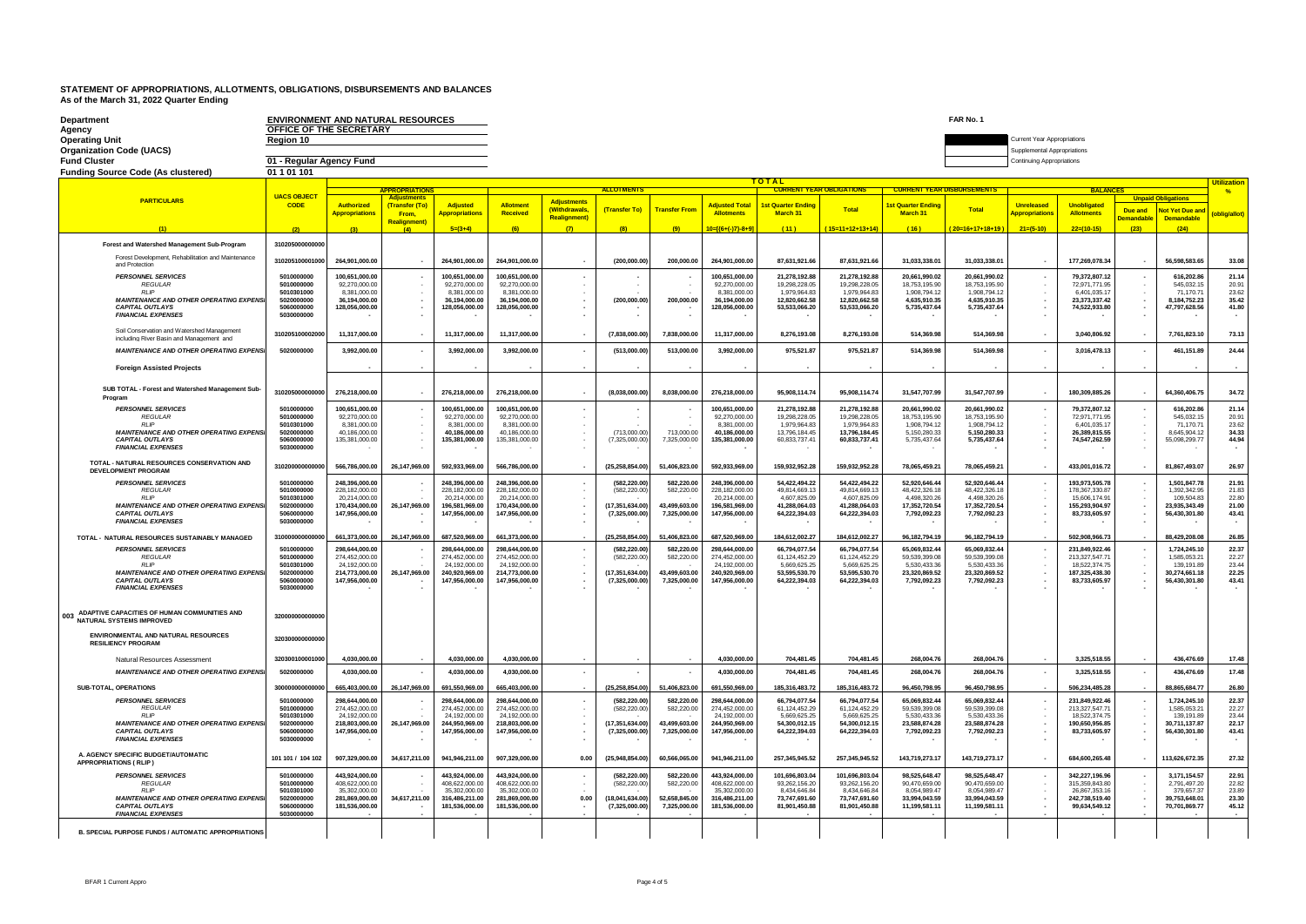| Department<br>Agency<br><b>Operating Unit</b><br><b>Organization Code (UACS)</b>                     | <b>ENVIRONMENT AND NATURAL RESOURCES</b><br>OFFICE OF THE SECRETARY<br>Region 10 |                                  |                               |                                  |                                  |                    |                                     |                               |                                            |                                       |                                 |                                | FAR No. 1<br><b>Current Year Appropriations</b><br>Supplemental Appropriations |                                  |                                  |                          |                                |                |  |  |
|------------------------------------------------------------------------------------------------------|----------------------------------------------------------------------------------|----------------------------------|-------------------------------|----------------------------------|----------------------------------|--------------------|-------------------------------------|-------------------------------|--------------------------------------------|---------------------------------------|---------------------------------|--------------------------------|--------------------------------------------------------------------------------|----------------------------------|----------------------------------|--------------------------|--------------------------------|----------------|--|--|
| <b>Fund Cluster</b>                                                                                  | 01 - Regular Agency Fund                                                         |                                  |                               |                                  |                                  |                    |                                     |                               |                                            |                                       |                                 |                                |                                                                                | <b>Continuing Appropriations</b> |                                  |                          |                                |                |  |  |
| <b>Funding Source Code (As clustered)</b>                                                            | 01 1 01 101                                                                      |                                  |                               |                                  |                                  |                    |                                     |                               |                                            |                                       |                                 |                                |                                                                                |                                  |                                  |                          |                                |                |  |  |
|                                                                                                      |                                                                                  |                                  | <b>PPROPRIATION</b>           |                                  |                                  |                    | <b>ALLOTMENT</b>                    |                               | TOTAL                                      | <b>CURRENT YEAR DISBURSEMENTS</b>     |                                 | <b>Utilization</b>             |                                                                                |                                  |                                  |                          |                                |                |  |  |
| <b>PARTICULARS</b>                                                                                   | <b>UACS OBJECT</b>                                                               |                                  | Adiustment                    |                                  |                                  | <b>Adjustments</b> |                                     |                               |                                            |                                       | <b>CURRENT YEAR OBLIGATIONS</b> |                                |                                                                                |                                  | <b>BALANCES</b>                  |                          | <b>Unpaid Obligations</b>      | 0/2            |  |  |
|                                                                                                      | <b>CODE</b>                                                                      | <b>Authorized</b>                | <b>(Transfer (To)</b><br>From | <b>Adjusted</b>                  | Allotmen<br><b>Received</b>      | <b>Withdrawals</b> | (Transfer To)                       | <b>Transfer From</b>          | <b>Adjusted Total</b><br><b>Allotments</b> | <b>1st Quarter Ending</b><br>March 31 | Total                           | 1st Quarter Ending<br>March 31 | <b>Total</b>                                                                   | <b>Unreleased</b>                | Unobligated<br><b>Allotments</b> | <b>Due and</b>           | <b>Not Yet Due and</b>         |                |  |  |
|                                                                                                      |                                                                                  | <b>Appropriations</b>            | <b>Realignment</b> )          | <b>Appropriations</b>            |                                  | <b>Realignment</b> |                                     |                               |                                            |                                       |                                 |                                |                                                                                | <b>Appropriations</b>            |                                  | <b>Demandable</b>        | <b>Demandable</b>              | oblig/allot)   |  |  |
|                                                                                                      | (2)                                                                              | (3)                              | (4)                           | $5=(3+4)$                        | (6)                              | (7)                | (8)                                 | (9)                           | $10=[(6+(-)7)-8+9]$                        | (11)                                  | $15=11+12+13+14$                | (16)                           | $20=16+17+18+19$                                                               | $21=(5-10)$                      | $22=(10-15)$                     | (23)                     | (24)                           |                |  |  |
| <b>Forest and Watershed Management Sub-Program</b>                                                   | 310205000000000                                                                  |                                  |                               |                                  |                                  |                    |                                     |                               |                                            |                                       |                                 |                                |                                                                                |                                  |                                  |                          |                                |                |  |  |
| Forest Development, Rehabilitation and Maintenance<br>and Protection                                 | 310205100001000                                                                  | 264,901,000.00                   |                               | 264.901.000.00                   | 264,901,000.00                   |                    | (200,000.00)                        | 200,000.00                    | 264,901,000.00                             | 87.631.921.66                         | 87.631.921.66                   | 31.033.338.01                  | 31.033.338.01                                                                  |                                  | 177.269.078.34                   |                          | 56,598,583.65                  | 33.08          |  |  |
| <b>PERSONNEL SERVICES</b>                                                                            | 5010000000                                                                       | 100.651.000.00                   |                               | 100,651,000.00                   | 100,651,000.00                   |                    |                                     |                               | 100,651,000.00                             | 21,278,192.88                         | 21.278.192.88                   | 20,661,990.02                  | 20.661.990.02                                                                  |                                  | 79,372,807.12                    |                          | 616.202.8                      | 21.14          |  |  |
| <b>REGULAR</b><br><b>RLIP</b>                                                                        | 5010000000<br>5010301000                                                         | 92.270.000.00<br>8,381,000.00    | $\cdot$                       | 92.270.000.00<br>8,381,000.00    | 92.270.000.00<br>8,381,000.00    |                    |                                     |                               | 92,270,000.00<br>8,381,000.00              | 19.298.228.05<br>1,979,964.83         | 19,298,228.05<br>1,979,964.83   | 18.753.195.90<br>1,908,794.12  | 18.753.195.90<br>1,908,794.12                                                  | $\sim$                           | 72.971.771.95<br>6,401,035.17    | ٠                        | 545.032.15<br>71.170.7         | 20.91<br>23.62 |  |  |
| <b>MAINTENANCE AND OTHER OPERATING EXPENSI</b>                                                       | 5020000000                                                                       | 36.194.000.00                    | $\sim$                        | 36.194.000.00                    | 36.194.000.00                    |                    | (200.000.00)                        | 200.000.00                    | 36.194.000.00                              | 12.820.662.58                         | 12.820.662.58                   | 4.635.910.35                   | 4.635.910.35                                                                   |                                  | 23.373.337.42                    | ٠                        | 8.184.752.23                   | 35.42          |  |  |
| <b>CAPITAL OUTLAYS</b><br><b>FINANCIAL EXPENSES</b>                                                  | 5060000000<br>5030000000                                                         | 128.056.000.00                   | $\sim$                        | 128.056.000.00                   | 128.056.000.00                   |                    |                                     |                               | 128,056,000.00                             | 53,533,066.20                         | 53.533.066.20                   | 5,735,437.64                   | 5.735.437.64                                                                   | $\overline{\phantom{a}}$         | 74.522.933.80                    | ٠                        | 47.797.628.56                  | 41.80          |  |  |
| Soil Conservation and Watershed Management                                                           |                                                                                  |                                  |                               |                                  |                                  |                    |                                     |                               |                                            |                                       |                                 |                                |                                                                                |                                  |                                  |                          |                                |                |  |  |
| including River Basin and Management and                                                             | 310205100002000                                                                  | 11,317,000.00                    |                               | 11,317,000.00                    | 11.317.000.00                    |                    | (7,838,000.00)                      | 7.838.000.00                  | 11.317.000.00                              | 8,276,193.08                          | 8,276,193.08                    | 514,369.98                     | 514.369.98                                                                     |                                  | 3.040.806.92                     | $\blacksquare$           | 7.761.823.10                   | 73.13          |  |  |
| <b>MAINTENANCE AND OTHER OPERATING EXPENS</b>                                                        | 5020000000                                                                       | 3,992,000.00                     |                               | 3,992,000.00                     | 3,992,000.00                     |                    | (513,000.00)                        | 513,000.00                    | 3,992,000.00                               | 975,521.87                            | 975,521.87                      | 514,369.98                     | 514,369.98                                                                     |                                  | 3,016,478.13                     | ٠                        | 461,151.89                     | 24.44          |  |  |
| <b>Foreign Assisted Projects</b>                                                                     |                                                                                  |                                  |                               |                                  |                                  |                    |                                     |                               |                                            |                                       |                                 |                                |                                                                                |                                  |                                  |                          |                                |                |  |  |
| SUB TOTAL - Forest and Watershed Management Sub-<br>Program                                          | 310205000000000                                                                  | 276.218.000.00                   |                               | 276.218.000.00                   | 276.218.000.00                   |                    | (8.038.000.00)                      | 8.038.000.00                  | 276.218.000.00                             | 95.908.114.74                         | 95,908,114.74                   | 31,547,707.99                  | 31,547,707.99                                                                  |                                  | 180.309.885.26                   |                          | 64.360.406.75                  | 34.72          |  |  |
| <b>PERSONNEL SERVICES</b>                                                                            | 5010000000                                                                       | 100.651.000.00                   |                               | 100.651.000.00                   | 100.651.000.00                   |                    |                                     |                               | 100.651.000.00                             | 21.278.192.88                         | 21.278.192.88                   | 20.661.990.02                  | 20.661.990.02                                                                  |                                  | 79.372.807.12                    |                          | 616.202.86                     | 21.14          |  |  |
| <b>REGULAR</b><br><b>RIP</b>                                                                         | 5010000000<br>5010301000                                                         | 92.270.000.00<br>8.381.000.00    |                               | 92.270,000.00<br>8.381.000.00    | 92.270,000.00<br>8.381.000.00    |                    |                                     |                               | 92.270,000.00<br>8.381.000.00              | 19 298 228 05<br>1.979.964.83         | 19.298.228.05<br>1 979 964 83   | 18 753 195 90<br>1.908.794.12  | 18.753.195.90<br>1.908.794.12                                                  |                                  | 72.971.771.95<br>6.401.035.17    |                          | 545.032.15<br>71.170.7         | 20.91<br>23.62 |  |  |
| <b>MAINTENANCE AND OTHER OPERATING EXPENSI</b>                                                       | 5020000000                                                                       | 40.186.000.00                    |                               | 40.186.000.00                    | 40,186,000.00                    |                    | (713,000,00)                        | 713,000.00                    | 40.186.000.00                              | 13,796,184.45                         | 13.796.184.45                   | 5,150,280.33                   | 5.150.280.33                                                                   |                                  | 26,389,815.55                    |                          | 8.645.904.12                   | 34.33          |  |  |
| <b>CAPITAL OUTLAYS</b><br><b>FINANCIAL EXPENSES</b>                                                  | 5060000000<br>5030000000                                                         | 135,381,000.00                   |                               | 135,381,000.00                   | 135,381,000.00                   |                    | (7,325,000.00)                      | 7,325,000.00                  | 135,381,000.00                             | 60,833,737.41                         | 60,833,737.41                   | 5,735,437.64                   | 5,735,437.64                                                                   |                                  | 74,547,262.59                    |                          | 55,098,299.77                  | 44.94          |  |  |
| <b>TOTAL - NATURAL RESOURCES CONSERVATION AND</b><br><b>DEVELOPMENT PROGRAM</b>                      | 31020000000000                                                                   | 566,786,000.00                   | 26,147,969.00                 | 592,933,969.00                   | 566,786,000.00                   |                    | (25, 258, 854.00)                   | 51,406,823.00                 | 592,933,969.00                             | 159,932,952.28                        | 159,932,952.28                  | 78,065,459.21                  | 78,065,459.21                                                                  |                                  | 433,001,016.72                   |                          | 81,867,493.07                  | 26.97          |  |  |
| <b>PERSONNEL SERVICES</b><br><b>REGULAR</b>                                                          | 5010000000<br>5010000000                                                         | 248.396.000.00<br>228.182.000.00 |                               | 248.396.000.00<br>228.182.000.00 | 248.396.000.00<br>228.182.000.00 |                    | (582.220.00)                        | 582,220.00                    | 248.396.000.00<br>228.182.000.00           | 54.422.494.22<br>49.814.669.13        | 54.422.494.22<br>49.814.669.13  | 52.920.646.44                  | 52,920,646.44<br>48.422.326.18                                                 |                                  | 193.973.505.78                   |                          | 1.501.847.78<br>1.392.342.95   | 21.91<br>21.83 |  |  |
| RI IP                                                                                                | 5010301000                                                                       | 20,214,000.00                    |                               | 20,214,000.00                    | 20,214,000.00                    |                    | (582, 220.00)                       | 582,220.00                    | 20,214,000.00                              | 4.607.825.09                          | 4,607,825.09                    | 48,422,326.18<br>4,498,320.26  | 4,498,320.26                                                                   |                                  | 178,367,330.87<br>15,606,174.91  |                          | 109,504.83                     | 22.80          |  |  |
| <b>MAINTENANCE AND OTHER OPERATING EXPENS</b><br><b>CAPITAL OUTLAYS</b><br><b>FINANCIAL EXPENSES</b> | 5020000000<br>5060000000<br>5030000000                                           | 170.434.000.00<br>147,956,000.00 | 26,147,969.00                 | 196,581,969.00<br>147.956.000.00 | 170.434.000.00<br>147,956,000.00 |                    | (17, 351, 634.00)<br>(7,325,000.00) | 43.499.603.00<br>7,325,000.00 | 196.581.969.00<br>147.956.000.00           | 41.288.064.03<br>64,222,394.03        | 41,288,064.03<br>64,222,394.03  | 17,352,720.54<br>7,792,092.23  | 17.352.720.54<br>7.792.092.23                                                  |                                  | 155,293,904.97<br>83,733,605.97  |                          | 23.935.343.49<br>56,430,301.80 | 21.00<br>43.41 |  |  |
| TOTAL - NATURAL RESOURCES SUSTAINABLY MANAGED                                                        | 31000000000000                                                                   | 661,373,000.00                   | 26,147,969.00                 | 687,520,969.00                   | 661,373,000.00                   |                    | (25, 258, 854.00)                   | 51,406,823.00                 | 687,520,969.00                             | 184,612,002.27                        | 184,612,002.27                  | 96,182,794.19                  | 96.182.794.19                                                                  |                                  | 502.908.966.73                   |                          | 88.429.208.08                  | 26.85          |  |  |
| <b>PERSONNEL SERVICES</b>                                                                            | 5010000000                                                                       | 298.644.000.00                   |                               | 298.644.000.00                   | 298.644.000.00                   |                    | (582.220.00)                        | 582.220.00                    | 298.644.000.00                             | 66.794.077.54                         | 66.794.077.54                   | 65.069.832.44                  | 65.069.832.44                                                                  |                                  | 231.849.922.46                   |                          | 1.724.245.10                   | 22.37          |  |  |
| <b>REGULAR</b><br><b>RLIP</b>                                                                        | 5010000000<br>5010301000                                                         | 274,452,000.00<br>24.192.000.00  |                               | 274,452,000.00<br>24.192.000.00  | 274,452,000.00<br>24,192,000.00  |                    | (582,220,00)                        | 582,220.00                    | 274,452,000.00<br>24.192.000.00            | 61,124,452.29<br>5.669.625.25         | 61,124,452.29<br>5.669.625.25   | 59,539,399.08<br>5.530.433.36  | 59,539,399.08<br>5.530.433.36                                                  |                                  | 213,327,547.71<br>18,522,374.75  |                          | 1,585,053.21<br>139,191.89     | 22.27<br>23.44 |  |  |
| <b>MAINTENANCE AND OTHER OPERATING EXPENSI</b>                                                       | 5020000000                                                                       | 214.773.000.00                   | 26.147.969.00                 | 240.920.969.00                   | 214.773.000.00                   |                    | (17.351.634.00)                     | 43.499.603.00                 | 240.920.969.00                             | 53,595,530.70                         | 53.595.530.70                   | 23.320.869.52                  | 23.320.869.52                                                                  |                                  | 187.325.438.30                   |                          | 30.274.661.18                  | 22.25          |  |  |
| <b>CAPITAL OUTLAYS</b><br><b>FINANCIAL EXPENSES</b>                                                  | 5060000000<br>5030000000                                                         | 147,956,000.00                   |                               | 147,956,000.00                   | 147,956,000.00                   |                    | (7,325,000.00)                      | 7,325,000.00                  | 147,956,000.00                             | 64,222,394.03                         | 64,222,394.03                   | 7,792,092.23                   | 7,792,092.23                                                                   |                                  | 83,733,605.97                    |                          | 56,430,301.80                  | 43.41          |  |  |
| ADAPTIVE CAPACITIES OF HUMAN COMMUNITIES AND<br>003<br><b>NATURAL SYSTEMS IMPROVED</b>               | 320000000000000                                                                  |                                  |                               |                                  |                                  |                    |                                     |                               |                                            |                                       |                                 |                                |                                                                                |                                  |                                  |                          |                                |                |  |  |
| <b>ENVIRONMENTAL AND NATURAL RESOURCES</b><br><b>RESILIENCY PROGRAM</b>                              | 32030000000000                                                                   |                                  |                               |                                  |                                  |                    |                                     |                               |                                            |                                       |                                 |                                |                                                                                |                                  |                                  |                          |                                |                |  |  |
| Natural Resources Assessment                                                                         | 320300100001000                                                                  | 4.030.000.00                     |                               | 4.030.000.00                     | 4.030.000.00                     |                    |                                     |                               | 4.030.000.00                               | 704.481.45                            | 704.481.45                      | 268.004.76                     | 268.004.76                                                                     |                                  | 3,325,518.55                     |                          | 436.476.69                     | 17.48          |  |  |
| <b>MAINTENANCE AND OTHER OPERATING EXPENSI</b>                                                       | 5020000000                                                                       | 4.030.000.00                     |                               | 4.030.000.00                     | 4.030.000.00                     | $\sim$             |                                     |                               | 4.030.000.00                               | 704.481.45                            | 704.481.45                      | 268.004.76                     | 268.004.76                                                                     | $\mathbf{r}$                     | 3.325.518.55                     | $\overline{\phantom{a}}$ | 436,476.69                     | 17.48          |  |  |
| <b>SUB-TOTAL, OPERATIONS</b>                                                                         | 300000000000000                                                                  | 665,403,000.00                   | 26,147,969.00                 | 691,550,969.00                   | 665,403,000.00                   |                    | (25, 258, 854.00)                   | 51,406,823,00                 | 691,550,969.00                             | 185,316,483.72                        | 185,316,483.72                  | 96,450,798.95                  | 96,450,798.95                                                                  |                                  | 506,234,485.28                   |                          | 88,865,684.77                  | 26.80          |  |  |
| <b>PERSONNEL SERVICES</b><br><b>REGULAR</b>                                                          | 5010000000<br>5010000000                                                         | 298,644,000.00<br>274 452 000.00 |                               | 298.644.000.00<br>274,452,000.00 | 298,644,000.00<br>274 452 000 00 |                    | (582, 220.00)<br>(582,220,00        | 582,220.00<br>582,220.00      | 298,644,000.00<br>274,452,000.00           | 66,794,077.54<br>61.124.452.29        | 66,794,077.54<br>61.124.452.29  | 65,069,832.44<br>59.539.399.08 | 65,069,832.44<br>59 539 399 08                                                 |                                  | 231,849,922.46<br>213 327 547 71 |                          | 1.724.245.10<br>1.585.053.2    | 22.37<br>22.27 |  |  |
| <b>RLIP</b>                                                                                          | 5010301000                                                                       | 24.192.000.00                    |                               | 24.192.000.00                    | 24.192.000.00                    |                    |                                     |                               | 24.192.000.00                              | 5.669.625.25                          | 5.669.625.25                    | 5.530.433.36                   | 5.530.433.36                                                                   |                                  | 18.522.374.75                    |                          | 139.191.89                     | 23.44          |  |  |
| <b>MAINTENANCE AND OTHER OPERATING EXPENSI</b><br><b>CAPITAL OUTLAYS</b>                             | 5020000000<br>5060000000                                                         | 218.803.000.00<br>147,956,000.00 | 26.147.969.00                 | 244.950.969.00<br>147,956,000.00 | 218.803.000.00<br>147,956,000.00 |                    | (17.351.634.00)<br>(7,325,000.00)   | 43.499.603.00<br>7,325,000.00 | 244,950,969.00<br>147,956,000.00           | 54.300.012.15<br>64,222,394.03        | 54.300.012.15<br>64,222,394.03  | 23.588.874.28<br>7,792,092.23  | 23,588,874.28<br>7,792,092.23                                                  |                                  | 190.650.956.85<br>83,733,605.97  |                          | 30.711.137.87<br>56,430,301.80 | 22.17<br>43.41 |  |  |
| <b>FINANCIAL EXPENSES</b>                                                                            | 5030000000                                                                       |                                  |                               |                                  |                                  |                    |                                     |                               |                                            |                                       |                                 |                                |                                                                                |                                  |                                  |                          |                                |                |  |  |
| A. AGENCY SPECIFIC BUDGET/AUTOMATIC<br><b>APPROPRIATIONS (RLIP)</b>                                  | 101 101 / 104 102                                                                | 907,329,000.00                   | 34.617.211.00                 | 941,946,211.00                   | 907.329.000.00                   | 0.00               | (25,948,854.00)                     | 60.566.065.00                 | 941,946,211.00                             | 257,345,945.52                        | 257,345,945.52                  | 143.719.273.17                 | 143.719.273.17                                                                 |                                  | 684,600,265.48                   | $\cdot$                  | 113,626,672.35                 | 27.32          |  |  |
| <b>PERSONNEL SERVICES</b><br><b>REGULAR</b>                                                          | 5010000000<br>5010000000                                                         | 443,924,000.00<br>408.622.000.00 |                               | 443,924,000.00<br>408.622.000.00 | 443,924,000.00<br>408.622.000.00 |                    | (582, 220.00)<br>(582.220.00)       | 582,220.00<br>582,220.00      | 443,924,000.00<br>408.622.000.00           | 101,696,803.04<br>93.262.156.20       | 101,696,803.04<br>93.262.156.20 | 98,525,648.47<br>90.470.659.00 | 98,525,648.47<br>90.470.659.00                                                 |                                  | 342,227,196.96<br>315 359 843 80 |                          | 3,171,154.57<br>2.791.497.20   | 22.91<br>22.82 |  |  |
| RI IP                                                                                                | 5010301000                                                                       | 35.302.000.00                    |                               | 35.302.000.00                    | 35.302.000.00                    |                    |                                     |                               | 35.302.000.00                              | 8 434 646 84                          | 8.434.646.84                    | 8.054.989.47                   | 8.054.989.47                                                                   |                                  | 26,867,353.16                    |                          | 379.657.37                     | 23.89          |  |  |
| <b>MAINTENANCE AND OTHER OPERATING EXPENS</b><br><b>CAPITAL OUTLAYS</b><br><b>FINANCIAL EXPENSES</b> | 5020000000<br>5060000000<br>5030000000                                           | 281.869.000.00<br>181,536,000.00 | 34,617,211.00                 | 316.486.211.00<br>181,536,000.00 | 281.869.000.00<br>181,536,000.00 | 0.00               | (18.041.634.00)<br>(7,325,000.00)   | 52.658.845.00<br>7,325,000.00 | 316.486.211.00<br>181.536.000.00           | 73.747.691.60<br>81,901,450.88        | 73.747.691.60<br>81,901,450.88  | 33.994.043.59<br>11,199,581.11 | 33.994.043.59<br>11,199,581.11                                                 |                                  | 242.738.519.40<br>99,634,549.12  |                          | 39.753.648.0<br>70,701,869.77  | 23.30<br>45.12 |  |  |
| B. SPECIAL PURPOSE FUNDS / AUTOMATIC APPROPRIATIONS                                                  |                                                                                  |                                  |                               |                                  |                                  |                    |                                     |                               |                                            |                                       |                                 |                                |                                                                                |                                  |                                  |                          |                                |                |  |  |